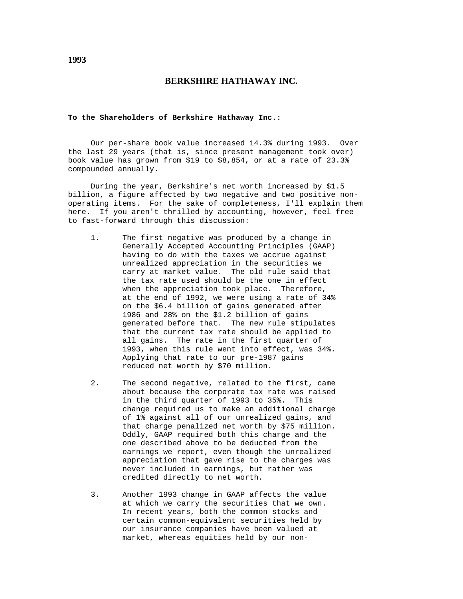# **BERKSHIRE HATHAWAY INC.**

## **To the Shareholders of Berkshire Hathaway Inc.:**

Our per-share book value increased 14.3% during 1993. Over the last 29 years (that is, since present management took over) book value has grown from \$19 to \$8,854, or at a rate of 23.3% compounded annually.

During the year, Berkshire's net worth increased by \$1.5 billion, a figure affected by two negative and two positive nonoperating items. For the sake of completeness, I'll explain them here. If you aren't thrilled by accounting, however, feel free to fast-forward through this discussion:

- 1. The first negative was produced by a change in Generally Accepted Accounting Principles (GAAP) having to do with the taxes we accrue against unrealized appreciation in the securities we carry at market value. The old rule said that the tax rate used should be the one in effect when the appreciation took place. Therefore, at the end of 1992, we were using a rate of 34% on the \$6.4 billion of gains generated after 1986 and 28% on the \$1.2 billion of gains generated before that. The new rule stipulates that the current tax rate should be applied to all gains. The rate in the first quarter of 1993, when this rule went into effect, was 34%. Applying that rate to our pre-1987 gains reduced net worth by \$70 million.
- 2. The second negative, related to the first, came about because the corporate tax rate was raised in the third quarter of 1993 to 35%. This change required us to make an additional charge of 1% against all of our unrealized gains, and that charge penalized net worth by \$75 million. Oddly, GAAP required both this charge and the one described above to be deducted from the earnings we report, even though the unrealized appreciation that gave rise to the charges was never included in earnings, but rather was credited directly to net worth.
- 3. Another 1993 change in GAAP affects the value at which we carry the securities that we own. In recent years, both the common stocks and certain common-equivalent securities held by our insurance companies have been valued at market, whereas equities held by our non-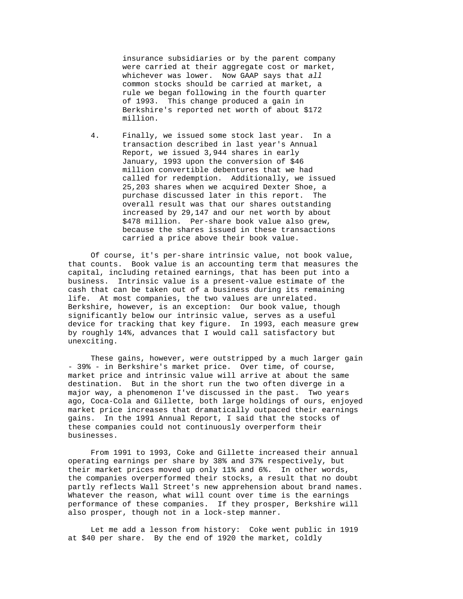insurance subsidiaries or by the parent company were carried at their aggregate cost or market, whichever was lower. Now GAAP says that *all* common stocks should be carried at market, a rule we began following in the fourth quarter of 1993. This change produced a gain in Berkshire's reported net worth of about \$172 million.

4. Finally, we issued some stock last year. In a transaction described in last year's Annual Report, we issued 3,944 shares in early January, 1993 upon the conversion of \$46 million convertible debentures that we had called for redemption. Additionally, we issued 25,203 shares when we acquired Dexter Shoe, a purchase discussed later in this report. The overall result was that our shares outstanding increased by 29,147 and our net worth by about \$478 million. Per-share book value also grew, because the shares issued in these transactions carried a price above their book value.

Of course, it's per-share intrinsic value, not book value, that counts. Book value is an accounting term that measures the capital, including retained earnings, that has been put into a business. Intrinsic value is a present-value estimate of the cash that can be taken out of a business during its remaining life. At most companies, the two values are unrelated. Berkshire, however, is an exception: Our book value, though significantly below our intrinsic value, serves as a useful device for tracking that key figure. In 1993, each measure grew by roughly 14%, advances that I would call satisfactory but unexciting.

These gains, however, were outstripped by a much larger gain - 39% - in Berkshire's market price. Over time, of course, market price and intrinsic value will arrive at about the same destination. But in the short run the two often diverge in a major way, a phenomenon I've discussed in the past. Two years ago, Coca-Cola and Gillette, both large holdings of ours, enjoyed market price increases that dramatically outpaced their earnings gains. In the 1991 Annual Report, I said that the stocks of these companies could not continuously overperform their businesses.

From 1991 to 1993, Coke and Gillette increased their annual operating earnings per share by 38% and 37% respectively, but their market prices moved up only 11% and 6%. In other words, the companies overperformed their stocks, a result that no doubt partly reflects Wall Street's new apprehension about brand names. Whatever the reason, what will count over time is the earnings performance of these companies. If they prosper, Berkshire will also prosper, though not in a lock-step manner.

Let me add a lesson from history: Coke went public in 1919 at \$40 per share. By the end of 1920 the market, coldly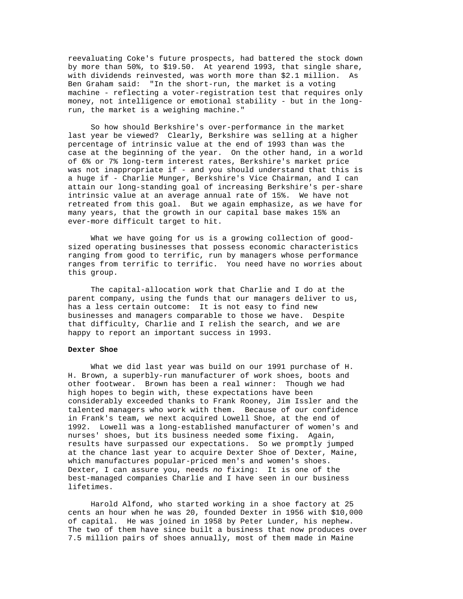reevaluating Coke's future prospects, had battered the stock down by more than 50%, to \$19.50. At yearend 1993, that single share, with dividends reinvested, was worth more than \$2.1 million. As Ben Graham said: "In the short-run, the market is a voting machine - reflecting a voter-registration test that requires only money, not intelligence or emotional stability - but in the longrun, the market is a weighing machine."

So how should Berkshire's over-performance in the market last year be viewed? Clearly, Berkshire was selling at a higher percentage of intrinsic value at the end of 1993 than was the case at the beginning of the year. On the other hand, in a world of 6% or 7% long-term interest rates, Berkshire's market price was not inappropriate if - and you should understand that this is a huge if - Charlie Munger, Berkshire's Vice Chairman, and I can attain our long-standing goal of increasing Berkshire's per-share intrinsic value at an average annual rate of 15%. We have not retreated from this goal. But we again emphasize, as we have for many years, that the growth in our capital base makes 15% an ever-more difficult target to hit.

What we have going for us is a growing collection of goodsized operating businesses that possess economic characteristics ranging from good to terrific, run by managers whose performance ranges from terrific to terrific. You need have no worries about this group.

The capital-allocation work that Charlie and I do at the parent company, using the funds that our managers deliver to us, has a less certain outcome: It is not easy to find new businesses and managers comparable to those we have. Despite that difficulty, Charlie and I relish the search, and we are happy to report an important success in 1993.

# **Dexter Shoe**

What we did last year was build on our 1991 purchase of H. H. Brown, a superbly-run manufacturer of work shoes, boots and other footwear. Brown has been a real winner: Though we had high hopes to begin with, these expectations have been considerably exceeded thanks to Frank Rooney, Jim Issler and the talented managers who work with them. Because of our confidence in Frank's team, we next acquired Lowell Shoe, at the end of 1992. Lowell was a long-established manufacturer of women's and nurses' shoes, but its business needed some fixing. Again, results have surpassed our expectations. So we promptly jumped at the chance last year to acquire Dexter Shoe of Dexter, Maine, which manufactures popular-priced men's and women's shoes. Dexter, I can assure you, needs *no* fixing: It is one of the best-managed companies Charlie and I have seen in our business lifetimes.

Harold Alfond, who started working in a shoe factory at 25 cents an hour when he was 20, founded Dexter in 1956 with \$10,000 of capital. He was joined in 1958 by Peter Lunder, his nephew. The two of them have since built a business that now produces over 7.5 million pairs of shoes annually, most of them made in Maine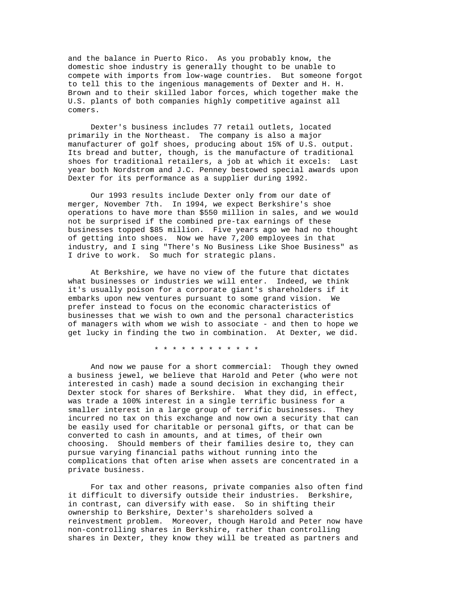and the balance in Puerto Rico. As you probably know, the domestic shoe industry is generally thought to be unable to compete with imports from low-wage countries. But someone forgot to tell this to the ingenious managements of Dexter and H. H. Brown and to their skilled labor forces, which together make the U.S. plants of both companies highly competitive against all comers.

Dexter's business includes 77 retail outlets, located primarily in the Northeast. The company is also a major manufacturer of golf shoes, producing about 15% of U.S. output. Its bread and butter, though, is the manufacture of traditional shoes for traditional retailers, a job at which it excels: Last year both Nordstrom and J.C. Penney bestowed special awards upon Dexter for its performance as a supplier during 1992.

Our 1993 results include Dexter only from our date of merger, November 7th. In 1994, we expect Berkshire's shoe operations to have more than \$550 million in sales, and we would not be surprised if the combined pre-tax earnings of these businesses topped \$85 million. Five years ago we had no thought of getting into shoes. Now we have 7,200 employees in that industry, and I sing "There's No Business Like Shoe Business" as I drive to work. So much for strategic plans.

At Berkshire, we have no view of the future that dictates what businesses or industries we will enter. Indeed, we think it's usually poison for a corporate giant's shareholders if it embarks upon new ventures pursuant to some grand vision. We prefer instead to focus on the economic characteristics of businesses that we wish to own and the personal characteristics of managers with whom we wish to associate - and then to hope we get lucky in finding the two in combination. At Dexter, we did.

\* \* \* \* \* \* \* \* \* \* \* \*

And now we pause for a short commercial: Though they owned a business jewel, we believe that Harold and Peter (who were not interested in cash) made a sound decision in exchanging their Dexter stock for shares of Berkshire. What they did, in effect, was trade a 100% interest in a single terrific business for a smaller interest in a large group of terrific businesses. They incurred no tax on this exchange and now own a security that can be easily used for charitable or personal gifts, or that can be converted to cash in amounts, and at times, of their own choosing. Should members of their families desire to, they can pursue varying financial paths without running into the complications that often arise when assets are concentrated in a private business.

For tax and other reasons, private companies also often find it difficult to diversify outside their industries. Berkshire, in contrast, can diversify with ease. So in shifting their ownership to Berkshire, Dexter's shareholders solved a reinvestment problem. Moreover, though Harold and Peter now have non-controlling shares in Berkshire, rather than controlling shares in Dexter, they know they will be treated as partners and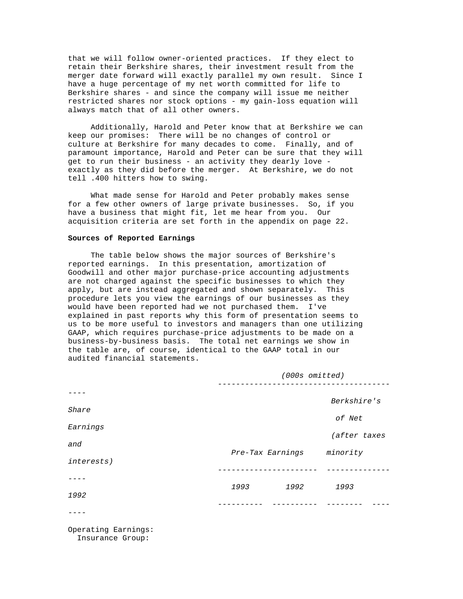that we will follow owner-oriented practices. If they elect to retain their Berkshire shares, their investment result from the merger date forward will exactly parallel my own result. Since I have a huge percentage of my net worth committed for life to Berkshire shares - and since the company will issue me neither restricted shares nor stock options - my gain-loss equation will always match that of all other owners.

Additionally, Harold and Peter know that at Berkshire we can keep our promises: There will be no changes of control or culture at Berkshire for many decades to come. Finally, and of paramount importance, Harold and Peter can be sure that they will get to run their business - an activity they dearly love exactly as they did before the merger. At Berkshire, we do not tell .400 hitters how to swing.

What made sense for Harold and Peter probably makes sense for a few other owners of large private businesses. So, if you have a business that might fit, let me hear from you. Our acquisition criteria are set forth in the appendix on page 22.

# **Sources of Reported Earnings**

The table below shows the major sources of Berkshire's reported earnings. In this presentation, amortization of Goodwill and other major purchase-price accounting adjustments are not charged against the specific businesses to which they apply, but are instead aggregated and shown separately. This procedure lets you view the earnings of our businesses as they would have been reported had we not purchased them. I've explained in past reports why this form of presentation seems to us to be more useful to investors and managers than one utilizing GAAP, which requires purchase-price adjustments to be made on a business-by-business basis. The total net earnings we show in the table are, of course, identical to the GAAP total in our audited financial statements.

|            | (000s omitted) |                  |              |  |
|------------|----------------|------------------|--------------|--|
|            |                |                  |              |  |
| Share      |                |                  | Berkshire's  |  |
| Earnings   |                |                  | of Net       |  |
|            |                |                  | (after taxes |  |
| and        |                | Pre-Tax Earnings | minority     |  |
| interests) |                |                  |              |  |
|            |                |                  |              |  |
|            | 1993           | 1992             | 1993         |  |
| 1992       |                |                  |              |  |
| $- - - -$  |                |                  |              |  |

Operating Earnings: Insurance Group: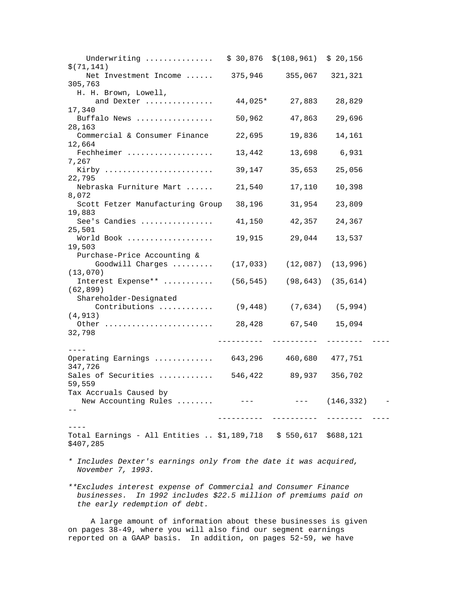| Underwriting $\frac{2}{30,876}$ \$(108,961) \$ 20,156<br>\$(71, 141)  |        |                           |              |  |
|-----------------------------------------------------------------------|--------|---------------------------|--------------|--|
| Net Investment Income  375,946 355,067 321,321                        |        |                           |              |  |
| 305,763                                                               |        |                           |              |  |
| H. H. Brown, Lowell,                                                  |        |                           |              |  |
| and Dexter $\ldots \ldots \ldots \ldots$ 44,025*                      |        | 27,883                    | 28,829       |  |
| 17,340                                                                |        |                           |              |  |
| Buffalo News                                                          | 50,962 | 47,863                    | 29,696       |  |
| 28,163                                                                |        |                           |              |  |
| Commercial & Consumer Finance                                         | 22,695 | 19,836                    | 14,161       |  |
| 12,664                                                                |        |                           |              |  |
| $\text{Fechheimer} \dots \dots \dots \dots \dots \dots \qquad 13,442$ |        |                           | 13,698 6,931 |  |
| 7,267                                                                 |        |                           |              |  |
| Kirby                                                                 | 39,147 | 35,653                    | 25,056       |  |
|                                                                       |        |                           |              |  |
| 22,795                                                                |        |                           |              |  |
| Nebraska Furniture Mart                                               | 21,540 | 17,110                    | 10,398       |  |
| 8,072                                                                 |        |                           |              |  |
| Scott Fetzer Manufacturing Group 38,196                               |        | 31,954                    | 23,809       |  |
| 19,883                                                                |        |                           |              |  |
| See's Candies $\ldots \ldots \ldots \ldots$ 41,150                    |        | 42,357                    | 24,367       |  |
| 25,501                                                                |        |                           |              |  |
| World Book                                                            | 19,915 | 29,044                    | 13,537       |  |
| 19,503                                                                |        |                           |              |  |
| Purchase-Price Accounting &                                           |        |                           |              |  |
| Goodwill Charges  (17,033) (12,087) (13,996)                          |        |                           |              |  |
| (13,070)                                                              |        |                           |              |  |
| Interest Expense**  (56,545) (98,643) (35,614)                        |        |                           |              |  |
| (62, 899)                                                             |        |                           |              |  |
|                                                                       |        |                           |              |  |
| Shareholder-Designated                                                |        |                           |              |  |
| Contributions  (9,448) (7,634) (5,994)                                |        |                           |              |  |
| (4, 913)                                                              |        |                           |              |  |
|                                                                       |        |                           |              |  |
| 32,798                                                                |        |                           |              |  |
|                                                                       |        |                           | _________    |  |
| $\frac{1}{2}$                                                         |        |                           |              |  |
| Operating Earnings  643,296 460,680 477,751                           |        |                           |              |  |
| 347,726                                                               |        |                           |              |  |
| Sales of Securities  546,422 89,937 356,702                           |        |                           |              |  |
| 59,559                                                                |        |                           |              |  |
|                                                                       |        |                           |              |  |
| Tax Accruals Caused by                                                |        |                           |              |  |
| New Accounting Rules $---$ (146,332) -                                |        |                           |              |  |
|                                                                       |        |                           |              |  |
|                                                                       |        | _________________________ |              |  |
|                                                                       |        |                           |              |  |
| Total Earnings - All Entities  \$1,189,718 \$ 550,617 \$688,121       |        |                           |              |  |

- \$407,285
- *\* Includes Dexter's earnings only from the date it was acquired, November 7, 1993.*
- *\*\*Excludes interest expense of Commercial and Consumer Finance businesses. In 1992 includes \$22.5 million of premiums paid on the early redemption of debt.*

A large amount of information about these businesses is given on pages 38-49, where you will also find our segment earnings reported on a GAAP basis. In addition, on pages 52-59, we have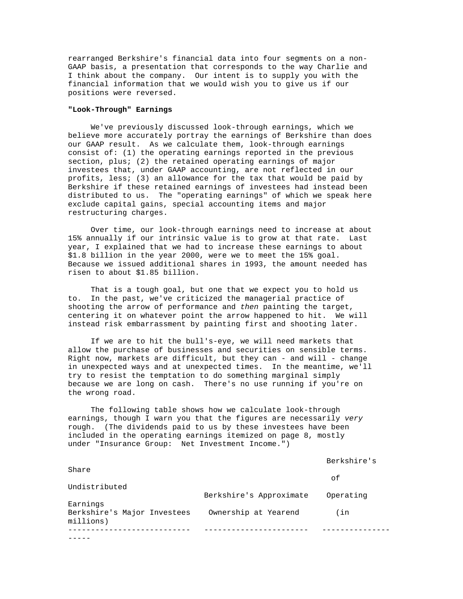rearranged Berkshire's financial data into four segments on a non-GAAP basis, a presentation that corresponds to the way Charlie and I think about the company. Our intent is to supply you with the financial information that we would wish you to give us if our positions were reversed.

## **"Look-Through" Earnings**

We've previously discussed look-through earnings, which we believe more accurately portray the earnings of Berkshire than does our GAAP result. As we calculate them, look-through earnings consist of: (1) the operating earnings reported in the previous section, plus; (2) the retained operating earnings of major investees that, under GAAP accounting, are not reflected in our profits, less; (3) an allowance for the tax that would be paid by Berkshire if these retained earnings of investees had instead been distributed to us. The "operating earnings" of which we speak here exclude capital gains, special accounting items and major restructuring charges.

Over time, our look-through earnings need to increase at about 15% annually if our intrinsic value is to grow at that rate. Last year, I explained that we had to increase these earnings to about \$1.8 billion in the year 2000, were we to meet the 15% goal. Because we issued additional shares in 1993, the amount needed has risen to about \$1.85 billion.

That is a tough goal, but one that we expect you to hold us to. In the past, we've criticized the managerial practice of shooting the arrow of performance and *then* painting the target, centering it on whatever point the arrow happened to hit. We will instead risk embarrassment by painting first and shooting later.

If we are to hit the bull's-eye, we will need markets that allow the purchase of businesses and securities on sensible terms. Right now, markets are difficult, but they can - and will - change in unexpected ways and at unexpected times. In the meantime, we'll try to resist the temptation to do something marginal simply because we are long on cash. There's no use running if you're on the wrong road.

The following table shows how we calculate look-through earnings, though I warn you that the figures are necessarily *very* rough. (The dividends paid to us by these investees have been included in the operating earnings itemized on page 8, mostly under "Insurance Group: Net Investment Income.")

Berkshire's

| Share                                                |                         |           |
|------------------------------------------------------|-------------------------|-----------|
| Undistributed                                        |                         | оf        |
|                                                      | Berkshire's Approximate | Operating |
| Earnings<br>Berkshire's Major Investees<br>millions) | Ownership at Yearend    | (in       |
|                                                      |                         |           |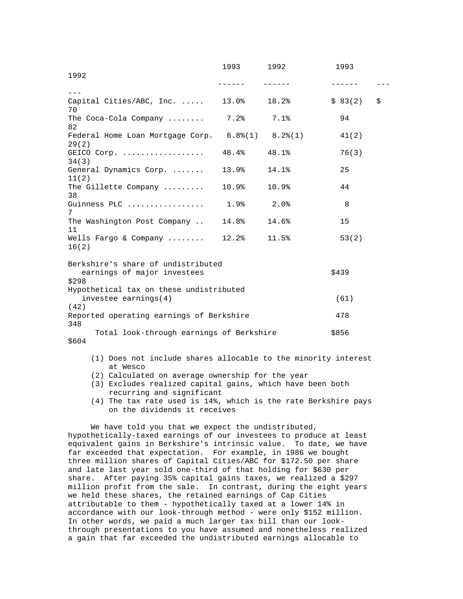|                                                                                                               | 1993  | 1992  | 1993          |  |
|---------------------------------------------------------------------------------------------------------------|-------|-------|---------------|--|
| 1992                                                                                                          |       |       |               |  |
| $- - -$                                                                                                       |       |       |               |  |
| Capital Cities/ABC, Inc.  13.0% 18.2%<br>70                                                                   |       |       | \$<br>\$83(2) |  |
| The Coca-Cola Company $7.2$ 7.1 %<br>82                                                                       |       |       | 94            |  |
| Federal Home Loan Mortgage Corp. 6.8%(1) 8.2%(1)<br>29(2)                                                     |       |       | 41(2)         |  |
| GEICO Corp.<br>34(3)                                                                                          | 48.4% | 48.1% | 76(3)         |  |
| General Dynamics Corp.<br>11(2)                                                                               | 13.9% | 14.1% | 25            |  |
| The Gillette Company<br>38                                                                                    | 10.9% | 10.9% | 44            |  |
| Guinness PLC $\ldots, \ldots, \ldots, \ldots$ 1.9%<br>7                                                       |       | 2.0%  | 8             |  |
| The Washington Post Company  14.8%<br>11                                                                      |       | 14.6% | 15            |  |
| Wells Fargo & Company<br>16(2)                                                                                | 12.2% | 11.5% | 53(2)         |  |
| Berkshire's share of undistributed<br>earnings of major investees<br>\$298                                    |       |       | \$439         |  |
| Hypothetical tax on these undistributed<br>investee earnings(4)<br>(42)                                       |       |       | (61)          |  |
| Reported operating earnings of Berkshire<br>348                                                               |       |       | 478           |  |
| Total look-through earnings of Berkshire<br>\$604                                                             |       |       | \$856         |  |
| (1) Does not include shares allocable to the minority interest<br>at Wesco                                    |       |       |               |  |
| (2) Calculated on average ownership for the year<br>(3) Excludes realized capital gains, which have been both |       |       |               |  |

- recurring and significant
- (4) The tax rate used is 14%, which is the rate Berkshire pays on the dividends it receives

We have told you that we expect the undistributed, hypothetically-taxed earnings of our investees to produce at least equivalent gains in Berkshire's intrinsic value. To date, we have far exceeded that expectation. For example, in 1986 we bought three million shares of Capital Cities/ABC for \$172.50 per share and late last year sold one-third of that holding for \$630 per share. After paying 35% capital gains taxes, we realized a \$297 million profit from the sale. In contrast, during the eight years we held these shares, the retained earnings of Cap Cities attributable to them - hypothetically taxed at a lower 14% in accordance with our look-through method - were only \$152 million. In other words, we paid a much larger tax bill than our lookthrough presentations to you have assumed and nonetheless realized a gain that far exceeded the undistributed earnings allocable to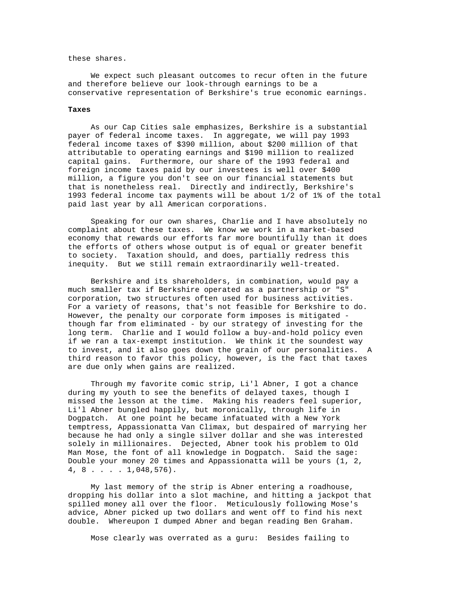# these shares.

We expect such pleasant outcomes to recur often in the future and therefore believe our look-through earnings to be a conservative representation of Berkshire's true economic earnings.

#### **Taxes**

As our Cap Cities sale emphasizes, Berkshire is a substantial payer of federal income taxes. In aggregate, we will pay 1993 federal income taxes of \$390 million, about \$200 million of that attributable to operating earnings and \$190 million to realized capital gains. Furthermore, our share of the 1993 federal and foreign income taxes paid by our investees is well over \$400 million, a figure you don't see on our financial statements but that is nonetheless real. Directly and indirectly, Berkshire's 1993 federal income tax payments will be about 1/2 of 1% of the total paid last year by all American corporations.

Speaking for our own shares, Charlie and I have absolutely no complaint about these taxes. We know we work in a market-based economy that rewards our efforts far more bountifully than it does the efforts of others whose output is of equal or greater benefit to society. Taxation should, and does, partially redress this inequity. But we still remain extraordinarily well-treated.

Berkshire and its shareholders, in combination, would pay a much smaller tax if Berkshire operated as a partnership or "S" corporation, two structures often used for business activities. For a variety of reasons, that's not feasible for Berkshire to do. However, the penalty our corporate form imposes is mitigated though far from eliminated - by our strategy of investing for the long term. Charlie and I would follow a buy-and-hold policy even if we ran a tax-exempt institution. We think it the soundest way to invest, and it also goes down the grain of our personalities. A third reason to favor this policy, however, is the fact that taxes are due only when gains are realized.

Through my favorite comic strip, Li'l Abner, I got a chance during my youth to see the benefits of delayed taxes, though I missed the lesson at the time. Making his readers feel superior, Li'l Abner bungled happily, but moronically, through life in Dogpatch. At one point he became infatuated with a New York temptress, Appassionatta Van Climax, but despaired of marrying her because he had only a single silver dollar and she was interested solely in millionaires. Dejected, Abner took his problem to Old Man Mose, the font of all knowledge in Dogpatch. Said the sage: Double your money 20 times and Appassionatta will be yours (1, 2, 4, 8 . . . . 1,048,576).

My last memory of the strip is Abner entering a roadhouse, dropping his dollar into a slot machine, and hitting a jackpot that spilled money all over the floor. Meticulously following Mose's advice, Abner picked up two dollars and went off to find his next double. Whereupon I dumped Abner and began reading Ben Graham.

Mose clearly was overrated as a guru: Besides failing to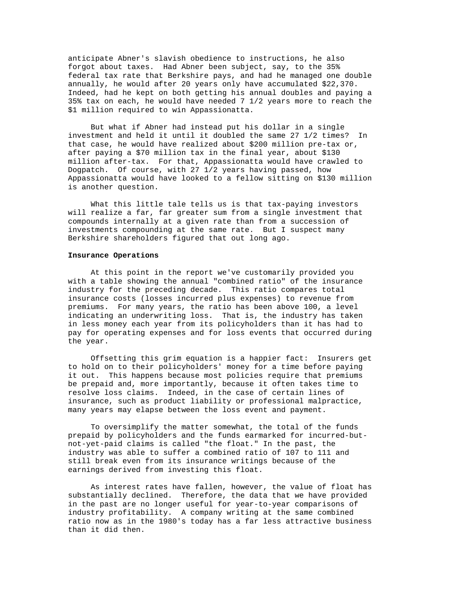anticipate Abner's slavish obedience to instructions, he also forgot about taxes. Had Abner been subject, say, to the 35% federal tax rate that Berkshire pays, and had he managed one double annually, he would after 20 years only have accumulated \$22,370. Indeed, had he kept on both getting his annual doubles and paying a 35% tax on each, he would have needed 7 1/2 years more to reach the \$1 million required to win Appassionatta.

But what if Abner had instead put his dollar in a single investment and held it until it doubled the same 27 1/2 times? In that case, he would have realized about \$200 million pre-tax or, after paying a \$70 million tax in the final year, about \$130 million after-tax. For that, Appassionatta would have crawled to Dogpatch. Of course, with 27 1/2 years having passed, how Appassionatta would have looked to a fellow sitting on \$130 million is another question.

What this little tale tells us is that tax-paying investors will realize a far, far greater sum from a single investment that compounds internally at a given rate than from a succession of investments compounding at the same rate. But I suspect many Berkshire shareholders figured that out long ago.

### **Insurance Operations**

At this point in the report we've customarily provided you with a table showing the annual "combined ratio" of the insurance industry for the preceding decade. This ratio compares total insurance costs (losses incurred plus expenses) to revenue from premiums. For many years, the ratio has been above 100, a level indicating an underwriting loss. That is, the industry has taken in less money each year from its policyholders than it has had to pay for operating expenses and for loss events that occurred during the year.

Offsetting this grim equation is a happier fact: Insurers get to hold on to their policyholders' money for a time before paying it out. This happens because most policies require that premiums be prepaid and, more importantly, because it often takes time to resolve loss claims. Indeed, in the case of certain lines of insurance, such as product liability or professional malpractice, many years may elapse between the loss event and payment.

To oversimplify the matter somewhat, the total of the funds prepaid by policyholders and the funds earmarked for incurred-butnot-yet-paid claims is called "the float." In the past, the industry was able to suffer a combined ratio of 107 to 111 and still break even from its insurance writings because of the earnings derived from investing this float.

As interest rates have fallen, however, the value of float has substantially declined. Therefore, the data that we have provided in the past are no longer useful for year-to-year comparisons of industry profitability. A company writing at the same combined ratio now as in the 1980's today has a far less attractive business than it did then.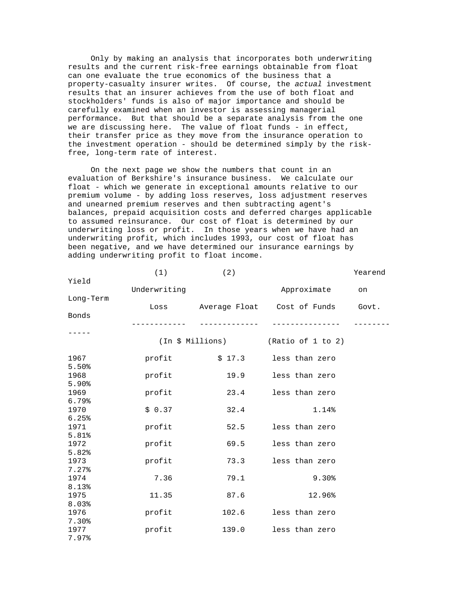Only by making an analysis that incorporates both underwriting results and the current risk-free earnings obtainable from float can one evaluate the true economics of the business that a property-casualty insurer writes. Of course, the *actual* investment results that an insurer achieves from the use of both float and stockholders' funds is also of major importance and should be carefully examined when an investor is assessing managerial performance. But that should be a separate analysis from the one we are discussing here. The value of float funds - in effect, their transfer price as they move from the insurance operation to the investment operation - should be determined simply by the riskfree, long-term rate of interest.

On the next page we show the numbers that count in an evaluation of Berkshire's insurance business. We calculate our float - which we generate in exceptional amounts relative to our premium volume - by adding loss reserves, loss adjustment reserves and unearned premium reserves and then subtracting agent's balances, prepaid acquisition costs and deferred charges applicable to assumed reinsurance. Our cost of float is determined by our underwriting loss or profit. In those years when we have had an underwriting profit, which includes 1993, our cost of float has been negative, and we have determined our insurance earnings by adding underwriting profit to float income.

|               | (1)          | (2)    |                                    | Yearend |
|---------------|--------------|--------|------------------------------------|---------|
| Yield         | Underwriting |        | Approximate                        | on      |
| Long-Term     |              |        |                                    |         |
| Bonds         |              |        | Loss Average Float Cost of Funds   | Govt.   |
|               |              |        |                                    |         |
|               |              |        | (In \$ Millions) (Ratio of 1 to 2) |         |
| 1967<br>5.50% | profit       | \$17.3 | less than zero                     |         |
| 1968<br>5.90% | profit       | 19.9   | less than zero                     |         |
| 1969<br>6.79% | profit       | 23.4   | less than zero                     |         |
| 1970<br>6.25% | \$0.37       | 32.4   | 1.14%                              |         |
| 1971<br>5.81% | profit       | 52.5   | less than zero                     |         |
| 1972<br>5.82% | profit       | 69.5   | less than zero                     |         |
| 1973<br>7.27% | profit       | 73.3   | less than zero                     |         |
| 1974<br>8.13% | 7.36         | 79.1   | 9.30%                              |         |
| 1975<br>8.03% | 11.35        | 87.6   | 12.96%                             |         |
| 1976<br>7.30% | profit       | 102.6  | less than zero                     |         |
| 1977<br>7.97% | profit       | 139.0  | less than zero                     |         |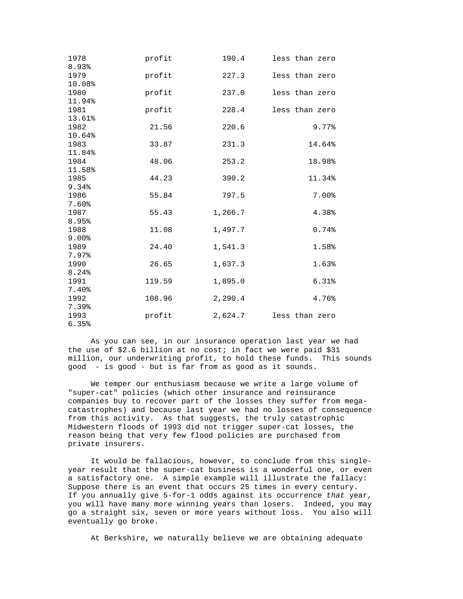| 1978       | profit | 190.4   | less than zero |
|------------|--------|---------|----------------|
| 8.93%      |        |         |                |
| 1979       | profit | 227.3   | less than zero |
| 10.08%     |        |         |                |
| 1980       | profit | 237.0   | less than zero |
| 11.94%     |        |         |                |
| 1981       | profit | 228.4   | less than zero |
| 13.61%     |        |         |                |
| 1982       | 21.56  | 220.6   | 9.77%          |
| 10.64%     |        |         |                |
| 1983       | 33.87  | 231.3   | 14.64%         |
| 11.84%     |        |         |                |
| 1984       | 48.06  | 253.2   | 18.98%         |
| 11.58%     |        |         |                |
| 1985       | 44.23  | 390.2   | 11.34%         |
| 9.34%      |        |         |                |
| 1986       | 55.84  | 797.5   | 7.00%          |
| 7.60%      |        |         |                |
| 1987       | 55.43  | 1,266.7 | 4.38%          |
| 8.95%      |        |         |                |
| 1988       | 11.08  | 1,497.7 | 0.74%          |
| $9.00$ $$$ |        |         |                |
| 1989       | 24.40  | 1,541.3 | 1.58%          |
| 7.97%      |        |         |                |
| 1990       | 26.65  | 1,637.3 | 1.63%          |
| 8.24%      |        |         |                |
| 1991       | 119.59 | 1,895.0 | 6.31%          |
| 7.40%      |        |         |                |
| 1992       | 108.96 | 2,290.4 | 4.76%          |
| 7.39%      |        |         |                |
| 1993       | profit | 2,624.7 | less than zero |
| 6.35%      |        |         |                |

As you can see, in our insurance operation last year we had the use of \$2.6 billion at no cost; in fact we were paid \$31 million, our underwriting profit, to hold these funds. This sounds good - is good - but is far from as good as it sounds.

We temper our enthusiasm because we write a large volume of "super-cat" policies (which other insurance and reinsurance companies buy to recover part of the losses they suffer from megacatastrophes) and because last year we had no losses of consequence from this activity. As that suggests, the truly catastrophic Midwestern floods of 1993 did not trigger super-cat losses, the reason being that very few flood policies are purchased from private insurers.

It would be fallacious, however, to conclude from this singleyear result that the super-cat business is a wonderful one, or even a satisfactory one. A simple example will illustrate the fallacy: Suppose there is an event that occurs 25 times in every century. If you annually give 5-for-1 odds against its occurrence *that* year, you will have many more winning years than losers. Indeed, you may go a straight six, seven or more years without loss. You also will eventually go broke.

At Berkshire, we naturally believe we are obtaining adequate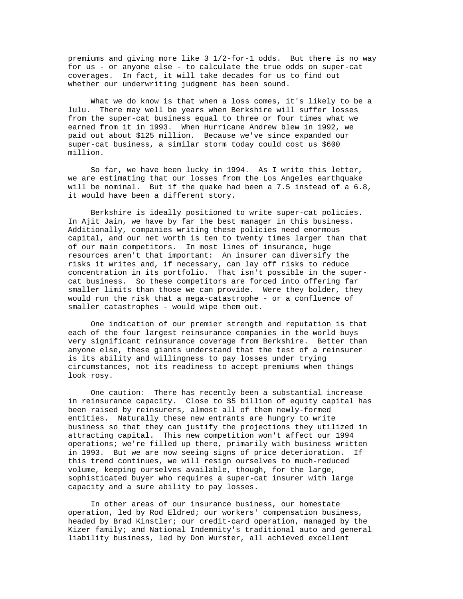premiums and giving more like 3 1/2-for-1 odds. But there is no way for us - or anyone else - to calculate the true odds on super-cat coverages. In fact, it will take decades for us to find out whether our underwriting judgment has been sound.

What we do know is that when a loss comes, it's likely to be a lulu. There may well be years when Berkshire will suffer losses from the super-cat business equal to three or four times what we earned from it in 1993. When Hurricane Andrew blew in 1992, we paid out about \$125 million. Because we've since expanded our super-cat business, a similar storm today could cost us \$600 million.

So far, we have been lucky in 1994. As I write this letter, we are estimating that our losses from the Los Angeles earthquake will be nominal. But if the quake had been a 7.5 instead of a 6.8, it would have been a different story.

Berkshire is ideally positioned to write super-cat policies. In Ajit Jain, we have by far the best manager in this business. Additionally, companies writing these policies need enormous capital, and our net worth is ten to twenty times larger than that of our main competitors. In most lines of insurance, huge resources aren't that important: An insurer can diversify the risks it writes and, if necessary, can lay off risks to reduce concentration in its portfolio. That isn't possible in the supercat business. So these competitors are forced into offering far smaller limits than those we can provide. Were they bolder, they would run the risk that a mega-catastrophe - or a confluence of smaller catastrophes - would wipe them out.

One indication of our premier strength and reputation is that each of the four largest reinsurance companies in the world buys very significant reinsurance coverage from Berkshire. Better than anyone else, these giants understand that the test of a reinsurer is its ability and willingness to pay losses under trying circumstances, not its readiness to accept premiums when things look rosy.

One caution: There has recently been a substantial increase in reinsurance capacity. Close to \$5 billion of equity capital has been raised by reinsurers, almost all of them newly-formed entities. Naturally these new entrants are hungry to write business so that they can justify the projections they utilized in attracting capital. This new competition won't affect our 1994 operations; we're filled up there, primarily with business written in 1993. But we are now seeing signs of price deterioration. If this trend continues, we will resign ourselves to much-reduced volume, keeping ourselves available, though, for the large, sophisticated buyer who requires a super-cat insurer with large capacity and a sure ability to pay losses.

In other areas of our insurance business, our homestate operation, led by Rod Eldred; our workers' compensation business, headed by Brad Kinstler; our credit-card operation, managed by the Kizer family; and National Indemnity's traditional auto and general liability business, led by Don Wurster, all achieved excellent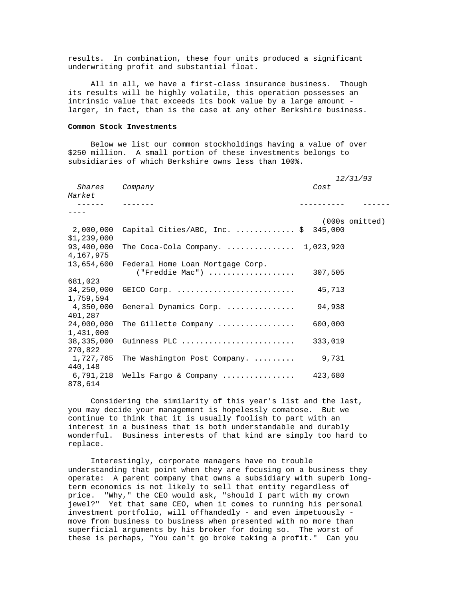results. In combination, these four units produced a significant underwriting profit and substantial float.

All in all, we have a first-class insurance business. Though its results will be highly volatile, this operation possesses an intrinsic value that exceeds its book value by a large amount larger, in fact, than is the case at any other Berkshire business.

### **Common Stock Investments**

Below we list our common stockholdings having a value of over \$250 million. A small portion of these investments belongs to subsidiaries of which Berkshire owns less than 100%.

|              |                                                                       | 12/31/93         |  |
|--------------|-----------------------------------------------------------------------|------------------|--|
| Shares       | Company                                                               | Cost             |  |
| Market       |                                                                       |                  |  |
|              |                                                                       |                  |  |
|              |                                                                       |                  |  |
|              |                                                                       | $(000s$ omitted) |  |
| 2,000,000    | Capital Cities/ABC, Inc.  \$ 345,000                                  |                  |  |
| \$1,239,000  |                                                                       |                  |  |
| 93,400,000   | The Coca-Cola Company. $\ldots \ldots \ldots \ldots 1,023,920$        |                  |  |
| 4,167,975    |                                                                       |                  |  |
| 13,654,600   | Federal Home Loan Mortgage Corp.                                      |                  |  |
|              | ("Freddie Mac")                                                       | 307,505          |  |
| 681,023      |                                                                       |                  |  |
| 34,250,000   | GEICO Corp. $\ldots \ldots \ldots \ldots \ldots \ldots \ldots \ldots$ | 45,713           |  |
| 1,759,594    |                                                                       |                  |  |
| 4,350,000    | General Dynamics Corp.                                                | 94,938           |  |
| 401,287      |                                                                       |                  |  |
| 24,000,000   | The Gillette Company $\ldots \ldots \ldots \ldots$                    | 600,000          |  |
| 1,431,000    |                                                                       |                  |  |
| 38, 335, 000 | Guinness PLC                                                          | 333,019          |  |
| 270,822      |                                                                       |                  |  |
| 1,727,765    | The Washington Post Company.                                          | 9,731            |  |
| 440,148      |                                                                       |                  |  |
|              | $6,791,218$ Wells Fargo & Company                                     | 423,680          |  |
| 878,614      |                                                                       |                  |  |

Considering the similarity of this year's list and the last, you may decide your management is hopelessly comatose. But we continue to think that it is usually foolish to part with an interest in a business that is both understandable and durably wonderful. Business interests of that kind are simply too hard to replace.

Interestingly, corporate managers have no trouble understanding that point when they are focusing on a business they operate: A parent company that owns a subsidiary with superb longterm economics is not likely to sell that entity regardless of price. "Why," the CEO would ask, "should I part with my crown jewel?" Yet that same CEO, when it comes to running his personal investment portfolio, will offhandedly - and even impetuously move from business to business when presented with no more than superficial arguments by his broker for doing so. The worst of these is perhaps, "You can't go broke taking a profit." Can you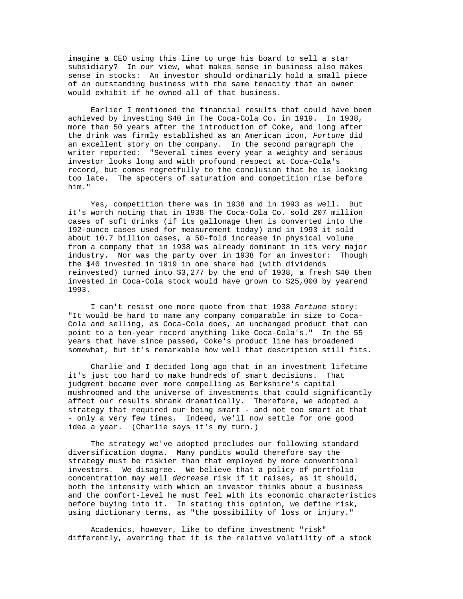imagine a CEO using this line to urge his board to sell a star subsidiary? In our view, what makes sense in business also makes sense in stocks: An investor should ordinarily hold a small piece of an outstanding business with the same tenacity that an owner would exhibit if he owned all of that business.

Earlier I mentioned the financial results that could have been achieved by investing \$40 in The Coca-Cola Co. in 1919. In 1938, more than 50 years after the introduction of Coke, and long after the drink was firmly established as an American icon, *Fortune* did an excellent story on the company. In the second paragraph the writer reported: "Several times every year a weighty and serious investor looks long and with profound respect at Coca-Cola's record, but comes regretfully to the conclusion that he is looking too late. The specters of saturation and competition rise before him."

Yes, competition there was in 1938 and in 1993 as well. But it's worth noting that in 1938 The Coca-Cola Co. sold 207 million cases of soft drinks (if its gallonage then is converted into the 192-ounce cases used for measurement today) and in 1993 it sold about 10.7 billion cases, a 50-fold increase in physical volume from a company that in 1938 was already dominant in its very major industry. Nor was the party over in 1938 for an investor: Though the \$40 invested in 1919 in one share had (with dividends reinvested) turned into \$3,277 by the end of 1938, a fresh \$40 then invested in Coca-Cola stock would have grown to \$25,000 by yearend 1993.

I can't resist one more quote from that 1938 *Fortune* story: "It would be hard to name any company comparable in size to Coca-Cola and selling, as Coca-Cola does, an unchanged product that can point to a ten-year record anything like Coca-Cola's." In the 55 years that have since passed, Coke's product line has broadened somewhat, but it's remarkable how well that description still fits.

Charlie and I decided long ago that in an investment lifetime it's just too hard to make hundreds of smart decisions. That judgment became ever more compelling as Berkshire's capital mushroomed and the universe of investments that could significantly affect our results shrank dramatically. Therefore, we adopted a strategy that required our being smart - and not too smart at that - only a very few times. Indeed, we'll now settle for one good idea a year. (Charlie says it's my turn.)

The strategy we've adopted precludes our following standard diversification dogma. Many pundits would therefore say the strategy must be riskier than that employed by more conventional investors. We disagree. We believe that a policy of portfolio concentration may well *decrease* risk if it raises, as it should, both the intensity with which an investor thinks about a business and the comfort-level he must feel with its economic characteristics before buying into it. In stating this opinion, we define risk, using dictionary terms, as "the possibility of loss or injury."

Academics, however, like to define investment "risk" differently, averring that it is the relative volatility of a stock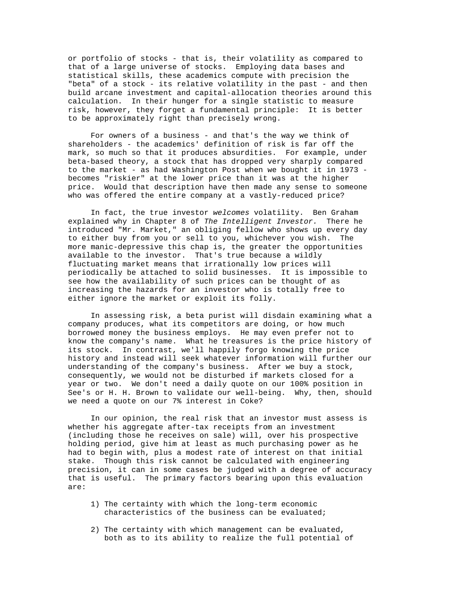or portfolio of stocks - that is, their volatility as compared to that of a large universe of stocks. Employing data bases and statistical skills, these academics compute with precision the "beta" of a stock - its relative volatility in the past - and then build arcane investment and capital-allocation theories around this calculation. In their hunger for a single statistic to measure risk, however, they forget a fundamental principle: It is better to be approximately right than precisely wrong.

For owners of a business - and that's the way we think of shareholders - the academics' definition of risk is far off the mark, so much so that it produces absurdities. For example, under beta-based theory, a stock that has dropped very sharply compared to the market - as had Washington Post when we bought it in 1973 becomes "riskier" at the lower price than it was at the higher price. Would that description have then made any sense to someone who was offered the entire company at a vastly-reduced price?

In fact, the true investor *welcomes* volatility. Ben Graham explained why in Chapter 8 of *The Intelligent Investor.* There he introduced "Mr. Market," an obliging fellow who shows up every day to either buy from you or sell to you, whichever you wish. The more manic-depressive this chap is, the greater the opportunities available to the investor. That's true because a wildly fluctuating market means that irrationally low prices will periodically be attached to solid businesses. It is impossible to see how the availability of such prices can be thought of as increasing the hazards for an investor who is totally free to either ignore the market or exploit its folly.

In assessing risk, a beta purist will disdain examining what a company produces, what its competitors are doing, or how much borrowed money the business employs. He may even prefer not to know the company's name. What he treasures is the price history of its stock. In contrast, we'll happily forgo knowing the price history and instead will seek whatever information will further our understanding of the company's business. After we buy a stock, consequently, we would not be disturbed if markets closed for a year or two. We don't need a daily quote on our 100% position in See's or H. H. Brown to validate our well-being. Why, then, should we need a quote on our 7% interest in Coke?

In our opinion, the real risk that an investor must assess is whether his aggregate after-tax receipts from an investment (including those he receives on sale) will, over his prospective holding period, give him at least as much purchasing power as he had to begin with, plus a modest rate of interest on that initial stake. Though this risk cannot be calculated with engineering precision, it can in some cases be judged with a degree of accuracy that is useful. The primary factors bearing upon this evaluation are:

- 1) The certainty with which the long-term economic characteristics of the business can be evaluated;
- 2) The certainty with which management can be evaluated, both as to its ability to realize the full potential of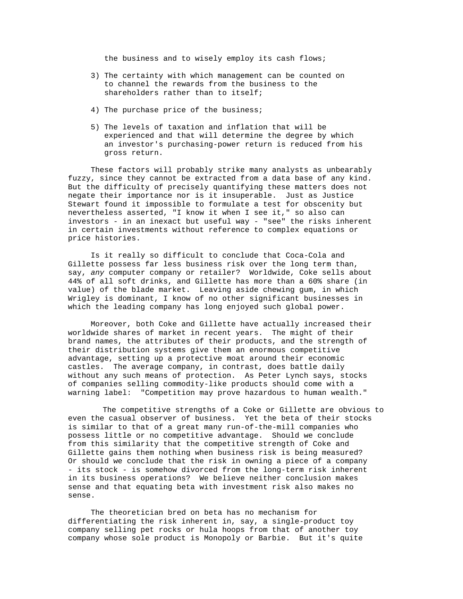the business and to wisely employ its cash flows;

- 3) The certainty with which management can be counted on to channel the rewards from the business to the shareholders rather than to itself;
- 4) The purchase price of the business;
- 5) The levels of taxation and inflation that will be experienced and that will determine the degree by which an investor's purchasing-power return is reduced from his gross return.

These factors will probably strike many analysts as unbearably fuzzy, since they cannot be extracted from a data base of any kind. But the difficulty of precisely quantifying these matters does not negate their importance nor is it insuperable. Just as Justice Stewart found it impossible to formulate a test for obscenity but nevertheless asserted, "I know it when I see it," so also can investors - in an inexact but useful way - "see" the risks inherent in certain investments without reference to complex equations or price histories.

Is it really so difficult to conclude that Coca-Cola and Gillette possess far less business risk over the long term than, say, *any* computer company or retailer? Worldwide, Coke sells about 44% of all soft drinks, and Gillette has more than a 60% share (in value) of the blade market. Leaving aside chewing gum, in which Wrigley is dominant, I know of no other significant businesses in which the leading company has long enjoyed such global power.

Moreover, both Coke and Gillette have actually increased their worldwide shares of market in recent years. The might of their brand names, the attributes of their products, and the strength of their distribution systems give them an enormous competitive advantage, setting up a protective moat around their economic castles. The average company, in contrast, does battle daily without any such means of protection. As Peter Lynch says, stocks of companies selling commodity-like products should come with a warning label: "Competition may prove hazardous to human wealth."

The competitive strengths of a Coke or Gillette are obvious to even the casual observer of business. Yet the beta of their stocks is similar to that of a great many run-of-the-mill companies who possess little or no competitive advantage. Should we conclude from this similarity that the competitive strength of Coke and Gillette gains them nothing when business risk is being measured? Or should we conclude that the risk in owning a piece of a company - its stock - is somehow divorced from the long-term risk inherent in its business operations? We believe neither conclusion makes sense and that equating beta with investment risk also makes no sense.

The theoretician bred on beta has no mechanism for differentiating the risk inherent in, say, a single-product toy company selling pet rocks or hula hoops from that of another toy company whose sole product is Monopoly or Barbie. But it's quite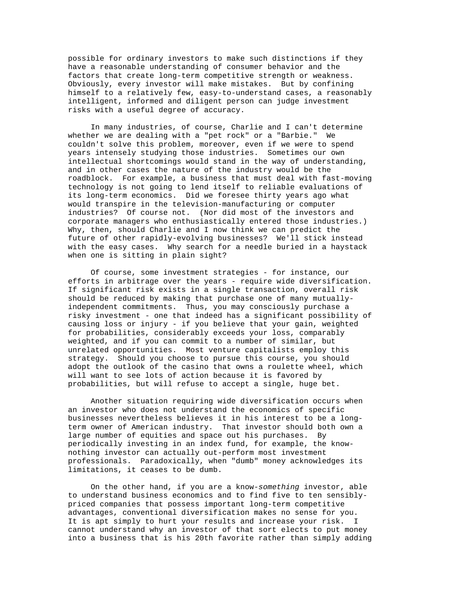possible for ordinary investors to make such distinctions if they have a reasonable understanding of consumer behavior and the factors that create long-term competitive strength or weakness. Obviously, every investor will make mistakes. But by confining himself to a relatively few, easy-to-understand cases, a reasonably intelligent, informed and diligent person can judge investment risks with a useful degree of accuracy.

In many industries, of course, Charlie and I can't determine whether we are dealing with a "pet rock" or a "Barbie." We couldn't solve this problem, moreover, even if we were to spend years intensely studying those industries. Sometimes our own intellectual shortcomings would stand in the way of understanding, and in other cases the nature of the industry would be the roadblock. For example, a business that must deal with fast-moving technology is not going to lend itself to reliable evaluations of its long-term economics. Did we foresee thirty years ago what would transpire in the television-manufacturing or computer industries? Of course not. (Nor did most of the investors and corporate managers who enthusiastically entered those industries.) Why, then, should Charlie and I now think we can predict the future of other rapidly-evolving businesses? We'll stick instead with the easy cases. Why search for a needle buried in a haystack when one is sitting in plain sight?

Of course, some investment strategies - for instance, our efforts in arbitrage over the years - require wide diversification. If significant risk exists in a single transaction, overall risk should be reduced by making that purchase one of many mutuallyindependent commitments. Thus, you may consciously purchase a risky investment - one that indeed has a significant possibility of causing loss or injury - if you believe that your gain, weighted for probabilities, considerably exceeds your loss, comparably weighted, and if you can commit to a number of similar, but unrelated opportunities. Most venture capitalists employ this strategy. Should you choose to pursue this course, you should adopt the outlook of the casino that owns a roulette wheel, which will want to see lots of action because it is favored by probabilities, but will refuse to accept a single, huge bet.

Another situation requiring wide diversification occurs when an investor who does not understand the economics of specific businesses nevertheless believes it in his interest to be a longterm owner of American industry. That investor should both own a large number of equities and space out his purchases. By periodically investing in an index fund, for example, the knownothing investor can actually out-perform most investment professionals. Paradoxically, when "dumb" money acknowledges its limitations, it ceases to be dumb.

On the other hand, if you are a know-*something* investor, able to understand business economics and to find five to ten sensiblypriced companies that possess important long-term competitive advantages, conventional diversification makes no sense for you. It is apt simply to hurt your results and increase your risk. I cannot understand why an investor of that sort elects to put money into a business that is his 20th favorite rather than simply adding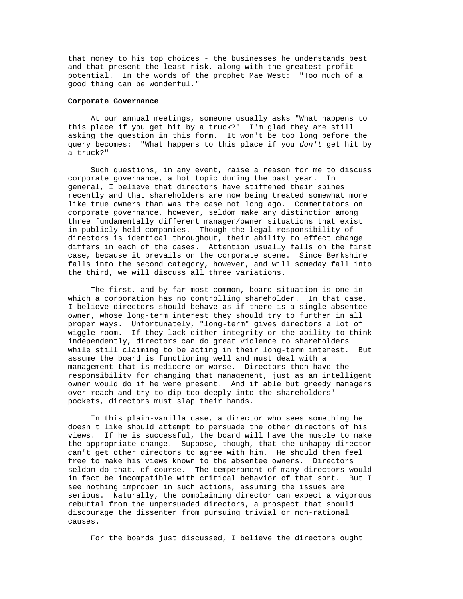that money to his top choices - the businesses he understands best and that present the least risk, along with the greatest profit potential. In the words of the prophet Mae West: "Too much of a good thing can be wonderful."

### **Corporate Governance**

At our annual meetings, someone usually asks "What happens to this place if you get hit by a truck?" I'm glad they are still asking the question in this form. It won't be too long before the query becomes: "What happens to this place if you *don't* get hit by a truck?"

Such questions, in any event, raise a reason for me to discuss corporate governance, a hot topic during the past year. In general, I believe that directors have stiffened their spines recently and that shareholders are now being treated somewhat more like true owners than was the case not long ago. Commentators on corporate governance, however, seldom make any distinction among three fundamentally different manager/owner situations that exist in publicly-held companies. Though the legal responsibility of directors is identical throughout, their ability to effect change differs in each of the cases. Attention usually falls on the first case, because it prevails on the corporate scene. Since Berkshire falls into the second category, however, and will someday fall into the third, we will discuss all three variations.

The first, and by far most common, board situation is one in which a corporation has no controlling shareholder. In that case, I believe directors should behave as if there is a single absentee owner, whose long-term interest they should try to further in all proper ways. Unfortunately, "long-term" gives directors a lot of wiggle room. If they lack either integrity or the ability to think independently, directors can do great violence to shareholders while still claiming to be acting in their long-term interest. But assume the board is functioning well and must deal with a management that is mediocre or worse. Directors then have the responsibility for changing that management, just as an intelligent owner would do if he were present. And if able but greedy managers over-reach and try to dip too deeply into the shareholders' pockets, directors must slap their hands.

In this plain-vanilla case, a director who sees something he doesn't like should attempt to persuade the other directors of his views. If he is successful, the board will have the muscle to make the appropriate change. Suppose, though, that the unhappy director can't get other directors to agree with him. He should then feel free to make his views known to the absentee owners. Directors seldom do that, of course. The temperament of many directors would in fact be incompatible with critical behavior of that sort. But I see nothing improper in such actions, assuming the issues are serious. Naturally, the complaining director can expect a vigorous rebuttal from the unpersuaded directors, a prospect that should discourage the dissenter from pursuing trivial or non-rational causes.

For the boards just discussed, I believe the directors ought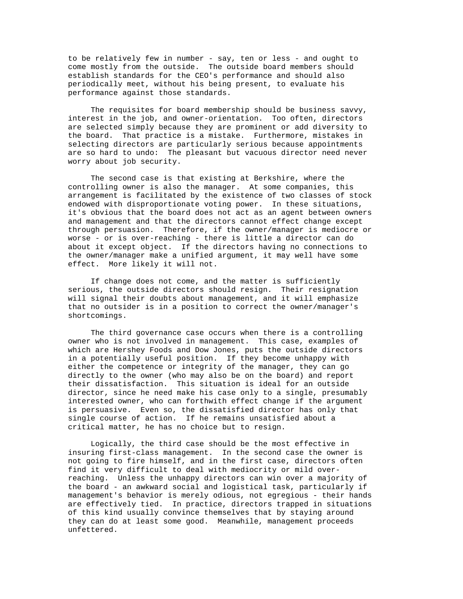to be relatively few in number - say, ten or less - and ought to come mostly from the outside. The outside board members should establish standards for the CEO's performance and should also periodically meet, without his being present, to evaluate his performance against those standards.

The requisites for board membership should be business savvy, interest in the job, and owner-orientation. Too often, directors are selected simply because they are prominent or add diversity to the board. That practice is a mistake. Furthermore, mistakes in selecting directors are particularly serious because appointments are so hard to undo: The pleasant but vacuous director need never worry about job security.

The second case is that existing at Berkshire, where the controlling owner is also the manager. At some companies, this arrangement is facilitated by the existence of two classes of stock endowed with disproportionate voting power. In these situations, it's obvious that the board does not act as an agent between owners and management and that the directors cannot effect change except through persuasion. Therefore, if the owner/manager is mediocre or worse - or is over-reaching - there is little a director can do about it except object. If the directors having no connections to the owner/manager make a unified argument, it may well have some effect. More likely it will not.

If change does not come, and the matter is sufficiently serious, the outside directors should resign. Their resignation will signal their doubts about management, and it will emphasize that no outsider is in a position to correct the owner/manager's shortcomings.

The third governance case occurs when there is a controlling owner who is not involved in management. This case, examples of which are Hershey Foods and Dow Jones, puts the outside directors in a potentially useful position. If they become unhappy with either the competence or integrity of the manager, they can go directly to the owner (who may also be on the board) and report their dissatisfaction. This situation is ideal for an outside director, since he need make his case only to a single, presumably interested owner, who can forthwith effect change if the argument is persuasive. Even so, the dissatisfied director has only that single course of action. If he remains unsatisfied about a critical matter, he has no choice but to resign.

Logically, the third case should be the most effective in insuring first-class management. In the second case the owner is not going to fire himself, and in the first case, directors often find it very difficult to deal with mediocrity or mild overreaching. Unless the unhappy directors can win over a majority of the board - an awkward social and logistical task, particularly if management's behavior is merely odious, not egregious - their hands are effectively tied. In practice, directors trapped in situations of this kind usually convince themselves that by staying around they can do at least some good. Meanwhile, management proceeds unfettered.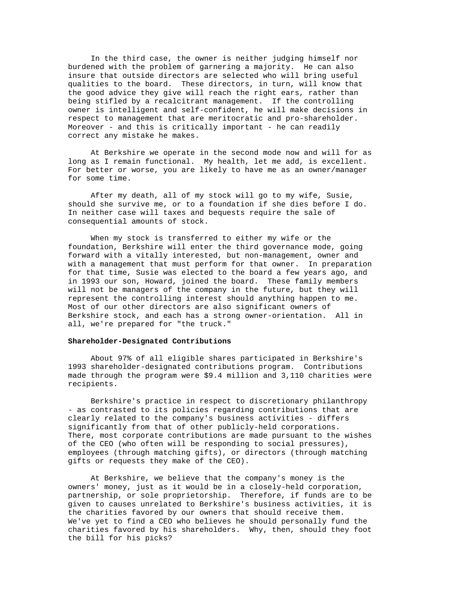In the third case, the owner is neither judging himself nor burdened with the problem of garnering a majority. He can also insure that outside directors are selected who will bring useful qualities to the board. These directors, in turn, will know that the good advice they give will reach the right ears, rather than being stifled by a recalcitrant management. If the controlling owner is intelligent and self-confident, he will make decisions in respect to management that are meritocratic and pro-shareholder. Moreover - and this is critically important - he can readily correct any mistake he makes.

At Berkshire we operate in the second mode now and will for as long as I remain functional. My health, let me add, is excellent. For better or worse, you are likely to have me as an owner/manager for some time.

After my death, all of my stock will go to my wife, Susie, should she survive me, or to a foundation if she dies before I do. In neither case will taxes and bequests require the sale of consequential amounts of stock.

When my stock is transferred to either my wife or the foundation, Berkshire will enter the third governance mode, going forward with a vitally interested, but non-management, owner and with a management that must perform for that owner. In preparation for that time, Susie was elected to the board a few years ago, and in 1993 our son, Howard, joined the board. These family members will not be managers of the company in the future, but they will represent the controlling interest should anything happen to me. Most of our other directors are also significant owners of Berkshire stock, and each has a strong owner-orientation. All in all, we're prepared for "the truck."

#### **Shareholder-Designated Contributions**

About 97% of all eligible shares participated in Berkshire's 1993 shareholder-designated contributions program. Contributions made through the program were \$9.4 million and 3,110 charities were recipients.

Berkshire's practice in respect to discretionary philanthropy - as contrasted to its policies regarding contributions that are clearly related to the company's business activities - differs significantly from that of other publicly-held corporations. There, most corporate contributions are made pursuant to the wishes of the CEO (who often will be responding to social pressures), employees (through matching gifts), or directors (through matching gifts or requests they make of the CEO).

At Berkshire, we believe that the company's money is the owners' money, just as it would be in a closely-held corporation, partnership, or sole proprietorship. Therefore, if funds are to be given to causes unrelated to Berkshire's business activities, it is the charities favored by our owners that should receive them. We've yet to find a CEO who believes he should personally fund the charities favored by his shareholders. Why, then, should they foot the bill for his picks?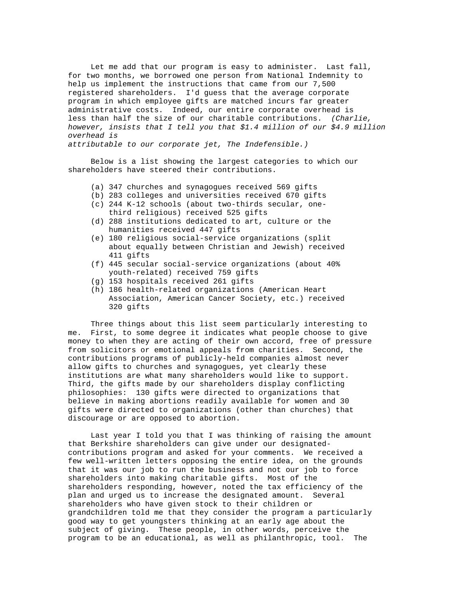Let me add that our program is easy to administer. Last fall, for two months, we borrowed one person from National Indemnity to help us implement the instructions that came from our 7,500 registered shareholders. I'd guess that the average corporate program in which employee gifts are matched incurs far greater administrative costs. Indeed, our entire corporate overhead is less than half the size of our charitable contributions. *(Charlie, however, insists that I tell you that \$1.4 million of our \$4.9 million overhead is*

*attributable to our corporate jet, The Indefensible.)*

Below is a list showing the largest categories to which our shareholders have steered their contributions.

- (a) 347 churches and synagogues received 569 gifts
- (b) 283 colleges and universities received 670 gifts
- (c) 244 K-12 schools (about two-thirds secular, onethird religious) received 525 gifts
- (d) 288 institutions dedicated to art, culture or the humanities received 447 gifts
- (e) 180 religious social-service organizations (split about equally between Christian and Jewish) received 411 gifts
- (f) 445 secular social-service organizations (about 40% youth-related) received 759 gifts
- (g) 153 hospitals received 261 gifts
- (h) 186 health-related organizations (American Heart Association, American Cancer Society, etc.) received 320 gifts

Three things about this list seem particularly interesting to me. First, to some degree it indicates what people choose to give money to when they are acting of their own accord, free of pressure from solicitors or emotional appeals from charities. Second, the contributions programs of publicly-held companies almost never allow gifts to churches and synagogues, yet clearly these institutions are what many shareholders would like to support. Third, the gifts made by our shareholders display conflicting philosophies: 130 gifts were directed to organizations that believe in making abortions readily available for women and 30 gifts were directed to organizations (other than churches) that discourage or are opposed to abortion.

Last year I told you that I was thinking of raising the amount that Berkshire shareholders can give under our designatedcontributions program and asked for your comments. We received a few well-written letters opposing the entire idea, on the grounds that it was our job to run the business and not our job to force shareholders into making charitable gifts. Most of the shareholders responding, however, noted the tax efficiency of the plan and urged us to increase the designated amount. Several shareholders who have given stock to their children or grandchildren told me that they consider the program a particularly good way to get youngsters thinking at an early age about the subject of giving. These people, in other words, perceive the program to be an educational, as well as philanthropic, tool. The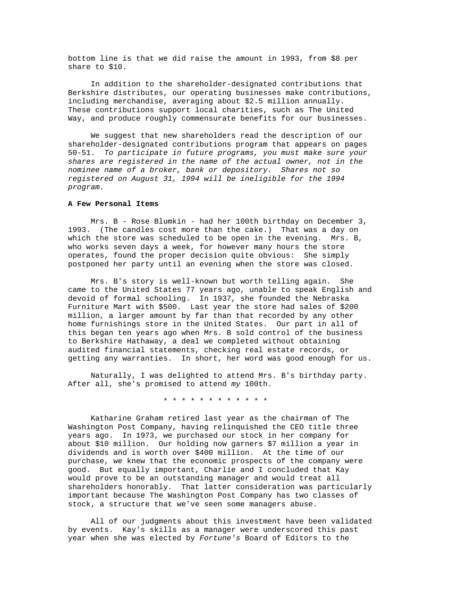bottom line is that we did raise the amount in 1993, from \$8 per share to \$10.

In addition to the shareholder-designated contributions that Berkshire distributes, our operating businesses make contributions, including merchandise, averaging about \$2.5 million annually. These contributions support local charities, such as The United Way, and produce roughly commensurate benefits for our businesses.

We suggest that new shareholders read the description of our shareholder-designated contributions program that appears on pages 50-51. *To participate in future programs, you must make sure your shares are registered in the name of the actual owner, not in the nominee name of a broker, bank or depository. Shares not so registered on August 31, 1994 will be ineligible for the 1994 program.*

## **A Few Personal Items**

Mrs. B - Rose Blumkin - had her 100th birthday on December 3, 1993. (The candles cost more than the cake.) That was a day on which the store was scheduled to be open in the evening. Mrs. B, who works seven days a week, for however many hours the store operates, found the proper decision quite obvious: She simply postponed her party until an evening when the store was closed.

Mrs. B's story is well-known but worth telling again. She came to the United States 77 years ago, unable to speak English and devoid of formal schooling. In 1937, she founded the Nebraska Furniture Mart with \$500. Last year the store had sales of \$200 million, a larger amount by far than that recorded by any other home furnishings store in the United States. Our part in all of this began ten years ago when Mrs. B sold control of the business to Berkshire Hathaway, a deal we completed without obtaining audited financial statements, checking real estate records, or getting any warranties. In short, her word was good enough for us.

Naturally, I was delighted to attend Mrs. B's birthday party. After all, she's promised to attend *my* 100th.

\* \* \* \* \* \* \* \* \* \* \* \*

Katharine Graham retired last year as the chairman of The Washington Post Company, having relinquished the CEO title three years ago. In 1973, we purchased our stock in her company for about \$10 million. Our holding now garners \$7 million a year in dividends and is worth over \$400 million. At the time of our purchase, we knew that the economic prospects of the company were good. But equally important, Charlie and I concluded that Kay would prove to be an outstanding manager and would treat all shareholders honorably. That latter consideration was particularly important because The Washington Post Company has two classes of stock, a structure that we've seen some managers abuse.

All of our judgments about this investment have been validated by events. Kay's skills as a manager were underscored this past year when she was elected by *Fortune's* Board of Editors to the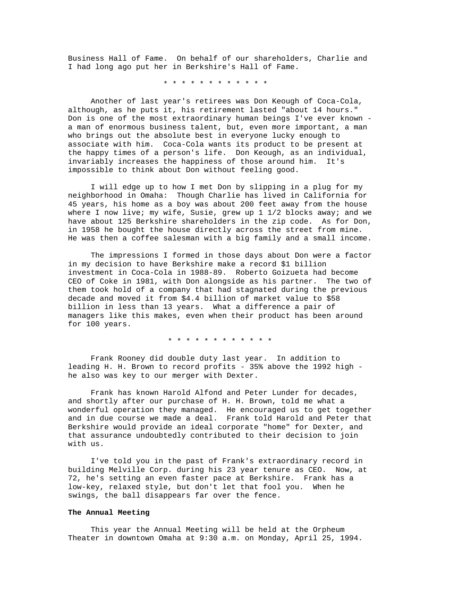Business Hall of Fame. On behalf of our shareholders, Charlie and I had long ago put her in Berkshire's Hall of Fame.

\* \* \* \* \* \* \* \* \* \* \* \*

Another of last year's retirees was Don Keough of Coca-Cola, although, as he puts it, his retirement lasted "about 14 hours." Don is one of the most extraordinary human beings I've ever known a man of enormous business talent, but, even more important, a man who brings out the absolute best in everyone lucky enough to associate with him. Coca-Cola wants its product to be present at the happy times of a person's life. Don Keough, as an individual, invariably increases the happiness of those around him. It's impossible to think about Don without feeling good.

I will edge up to how I met Don by slipping in a plug for my neighborhood in Omaha: Though Charlie has lived in California for 45 years, his home as a boy was about 200 feet away from the house where I now live; my wife, Susie, grew up  $1\ 1/2$  blocks away; and we have about 125 Berkshire shareholders in the zip code. As for Don, in 1958 he bought the house directly across the street from mine. He was then a coffee salesman with a big family and a small income.

The impressions I formed in those days about Don were a factor in my decision to have Berkshire make a record \$1 billion investment in Coca-Cola in 1988-89. Roberto Goizueta had become CEO of Coke in 1981, with Don alongside as his partner. The two of them took hold of a company that had stagnated during the previous decade and moved it from \$4.4 billion of market value to \$58 billion in less than 13 years. What a difference a pair of managers like this makes, even when their product has been around for 100 years.

\* \* \* \* \* \* \* \* \* \* \* \*

Frank Rooney did double duty last year. In addition to leading H. H. Brown to record profits - 35% above the 1992 high he also was key to our merger with Dexter.

Frank has known Harold Alfond and Peter Lunder for decades, and shortly after our purchase of H. H. Brown, told me what a wonderful operation they managed. He encouraged us to get together and in due course we made a deal. Frank told Harold and Peter that Berkshire would provide an ideal corporate "home" for Dexter, and that assurance undoubtedly contributed to their decision to join with us.

I've told you in the past of Frank's extraordinary record in building Melville Corp. during his 23 year tenure as CEO. Now, at 72, he's setting an even faster pace at Berkshire. Frank has a low-key, relaxed style, but don't let that fool you. When he swings, the ball disappears far over the fence.

### **The Annual Meeting**

This year the Annual Meeting will be held at the Orpheum Theater in downtown Omaha at 9:30 a.m. on Monday, April 25, 1994.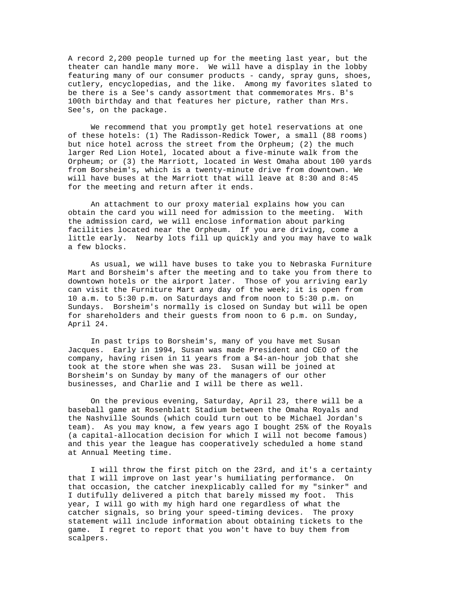A record 2,200 people turned up for the meeting last year, but the theater can handle many more. We will have a display in the lobby featuring many of our consumer products - candy, spray guns, shoes, cutlery, encyclopedias, and the like. Among my favorites slated to be there is a See's candy assortment that commemorates Mrs. B's 100th birthday and that features her picture, rather than Mrs. See's, on the package.

We recommend that you promptly get hotel reservations at one of these hotels: (1) The Radisson-Redick Tower, a small (88 rooms) but nice hotel across the street from the Orpheum; (2) the much larger Red Lion Hotel, located about a five-minute walk from the Orpheum; or (3) the Marriott, located in West Omaha about 100 yards from Borsheim's, which is a twenty-minute drive from downtown. We will have buses at the Marriott that will leave at 8:30 and 8:45 for the meeting and return after it ends.

An attachment to our proxy material explains how you can obtain the card you will need for admission to the meeting. With the admission card, we will enclose information about parking facilities located near the Orpheum. If you are driving, come a little early. Nearby lots fill up quickly and you may have to walk a few blocks.

As usual, we will have buses to take you to Nebraska Furniture Mart and Borsheim's after the meeting and to take you from there to downtown hotels or the airport later. Those of you arriving early can visit the Furniture Mart any day of the week; it is open from 10 a.m. to 5:30 p.m. on Saturdays and from noon to 5:30 p.m. on Sundays. Borsheim's normally is closed on Sunday but will be open for shareholders and their guests from noon to 6 p.m. on Sunday, April 24.

In past trips to Borsheim's, many of you have met Susan Jacques. Early in 1994, Susan was made President and CEO of the company, having risen in 11 years from a \$4-an-hour job that she took at the store when she was 23. Susan will be joined at Borsheim's on Sunday by many of the managers of our other businesses, and Charlie and I will be there as well.

On the previous evening, Saturday, April 23, there will be a baseball game at Rosenblatt Stadium between the Omaha Royals and the Nashville Sounds (which could turn out to be Michael Jordan's team). As you may know, a few years ago I bought 25% of the Royals (a capital-allocation decision for which I will not become famous) and this year the league has cooperatively scheduled a home stand at Annual Meeting time.

I will throw the first pitch on the 23rd, and it's a certainty that I will improve on last year's humiliating performance. On that occasion, the catcher inexplicably called for my "sinker" and I dutifully delivered a pitch that barely missed my foot. This year, I will go with my high hard one regardless of what the catcher signals, so bring your speed-timing devices. The proxy statement will include information about obtaining tickets to the game. I regret to report that you won't have to buy them from scalpers.